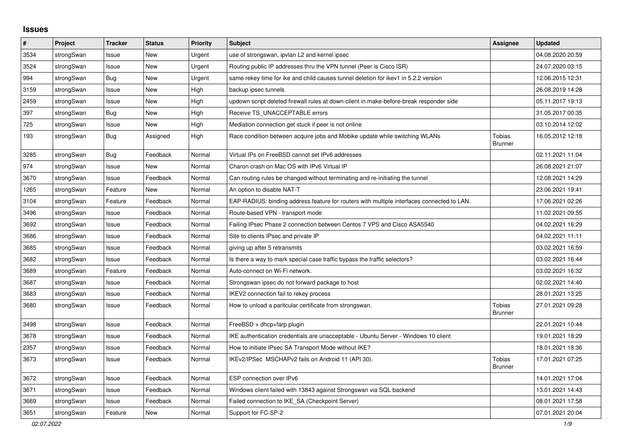## **Issues**

| #    | Project    | <b>Tracker</b> | <b>Status</b> | <b>Priority</b> | <b>Subject</b>                                                                             | Assignee                 | <b>Updated</b>   |
|------|------------|----------------|---------------|-----------------|--------------------------------------------------------------------------------------------|--------------------------|------------------|
| 3534 | strongSwan | Issue          | New           | Urgent          | use of strongswan, ipvlan L2 and kernel ipsec                                              |                          | 04.08.2020 20:59 |
| 3524 | strongSwan | Issue          | <b>New</b>    | Urgent          | Routing public IP addresses thru the VPN tunnel (Peer is Cisco ISR)                        |                          | 24.07.2020 03:15 |
| 994  | strongSwan | Bug            | <b>New</b>    | Urgent          | same rekey time for ike and child causes tunnel deletion for ikev1 in 5.2.2 version        |                          | 12.06.2015 12:31 |
| 3159 | strongSwan | Issue          | <b>New</b>    | High            | backup ipsec tunnels                                                                       |                          | 26.08.2019 14:28 |
| 2459 | strongSwan | Issue          | <b>New</b>    | High            | updown script deleted firewall rules at down-client in make-before-break responder side    |                          | 05.11.2017 19:13 |
| 397  | strongSwan | <b>Bug</b>     | <b>New</b>    | High            | Receive TS UNACCEPTABLE errors                                                             |                          | 31.05.2017 00:35 |
| 725  | strongSwan | Issue          | <b>New</b>    | High            | Mediation connection get stuck if peer is not online                                       |                          | 03.10.2014 12:02 |
| 193  | strongSwan | Bug            | Assigned      | High            | Race condition between acquire jobs and Mobike update while switching WLANs                | Tobias<br><b>Brunner</b> | 16.05.2012 12:18 |
| 3285 | strongSwan | Bug            | Feedback      | Normal          | Virtual IPs on FreeBSD cannot set IPv6 addresses                                           |                          | 02.11.2021 11:04 |
| 974  | strongSwan | Issue          | New           | Normal          | Charon crash on Mac OS with IPv6 Virtual IP                                                |                          | 26.08.2021 21:07 |
| 3670 | strongSwan | Issue          | Feedback      | Normal          | Can routing rules be changed without terminating and re-initiating the tunnel              |                          | 12.08.2021 14:29 |
| 1265 | strongSwan | Feature        | New           | Normal          | An option to disable NAT-T                                                                 |                          | 23.06.2021 19:41 |
| 3104 | strongSwan | Feature        | Feedback      | Normal          | EAP-RADIUS: binding address feature for routers with multiple interfaces connected to LAN. |                          | 17.06.2021 02:26 |
| 3496 | strongSwan | Issue          | Feedback      | Normal          | Route-based VPN - transport mode                                                           |                          | 11.02.2021 09:55 |
| 3692 | strongSwan | Issue          | Feedback      | Normal          | Failing IPsec Phase 2 connection between Centos 7 VPS and Cisco ASA5540                    |                          | 04.02.2021 16:29 |
| 3686 | strongSwan | Issue          | Feedback      | Normal          | Site to clients IPsec and private IP                                                       |                          | 04.02.2021 11:11 |
| 3685 | strongSwan | Issue          | Feedback      | Normal          | giving up after 5 retransmits                                                              |                          | 03.02.2021 16:59 |
| 3682 | strongSwan | Issue          | Feedback      | Normal          | Is there a way to mark special case traffic bypass the traffic selectors?                  |                          | 03.02.2021 16:44 |
| 3689 | strongSwan | Feature        | Feedback      | Normal          | Auto-connect on Wi-Fi network.                                                             |                          | 03.02.2021 16:32 |
| 3687 | strongSwan | Issue          | Feedback      | Normal          | Strongswan ipsec do not forward package to host                                            |                          | 02.02.2021 14:40 |
| 3683 | strongSwan | Issue          | Feedback      | Normal          | IKEV2 connection fail to rekey process                                                     |                          | 28.01.2021 13:25 |
| 3680 | strongSwan | Issue          | Feedback      | Normal          | How to unload a paritcular certificate from strongswan.                                    | Tobias<br><b>Brunner</b> | 27.01.2021 09:28 |
| 3498 | strongSwan | Issue          | Feedback      | Normal          | FreeBSD + dhcp+farp plugin                                                                 |                          | 22.01.2021 10:44 |
| 3678 | strongSwan | Issue          | Feedback      | Normal          | IKE authentication credentials are unacceptable - Ubuntu Server - Windows 10 client        |                          | 19.01.2021 18:29 |
| 2357 | strongSwan | Issue          | Feedback      | Normal          | How to initiate IPsec SA Transport Mode without IKE?                                       |                          | 18.01.2021 18:36 |
| 3673 | strongSwan | Issue          | Feedback      | Normal          | IKEv2/IPSec MSCHAPv2 fails on Android 11 (API 30).                                         | Tobias<br>Brunner        | 17.01.2021 07:25 |
| 3672 | strongSwan | Issue          | Feedback      | Normal          | ESP connection over IPv6                                                                   |                          | 14.01.2021 17:04 |
| 3671 | strongSwan | Issue          | Feedback      | Normal          | Windows client failed with 13843 against Strongswan via SQL backend                        |                          | 13.01.2021 14:43 |
| 3669 | strongSwan | Issue          | Feedback      | Normal          | Failed connection to IKE_SA (Checkpoint Server)                                            |                          | 08.01.2021 17:58 |
| 3651 | strongSwan | Feature        | New           | Normal          | Support for FC-SP-2                                                                        |                          | 07.01.2021 20:04 |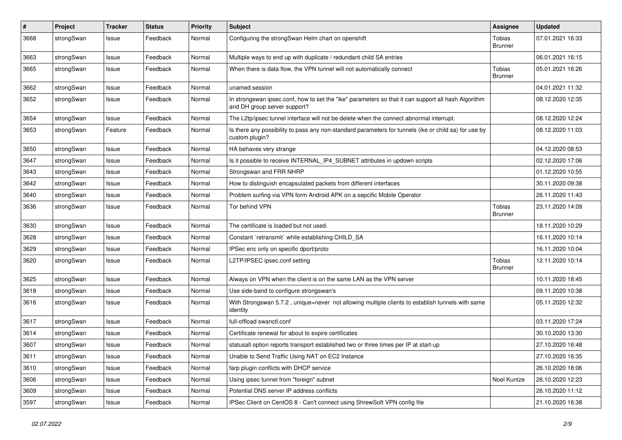| #    | Project    | <b>Tracker</b> | <b>Status</b> | <b>Priority</b> | <b>Subject</b>                                                                                                                      | <b>Assignee</b>          | <b>Updated</b>   |
|------|------------|----------------|---------------|-----------------|-------------------------------------------------------------------------------------------------------------------------------------|--------------------------|------------------|
| 3668 | strongSwan | Issue          | Feedback      | Normal          | Configuring the strongSwan Helm chart on openshift                                                                                  | Tobias<br><b>Brunner</b> | 07.01.2021 16:33 |
| 3663 | strongSwan | Issue          | Feedback      | Normal          | Multiple ways to end up with duplicate / redundant child SA entries                                                                 |                          | 06.01.2021 16:15 |
| 3665 | strongSwan | Issue          | Feedback      | Normal          | When there is data flow, the VPN tunnel will not automatically connect                                                              | Tobias<br><b>Brunner</b> | 05.01.2021 16:26 |
| 3662 | strongSwan | Issue          | Feedback      | Normal          | unamed session                                                                                                                      |                          | 04.01.2021 11:32 |
| 3652 | strongSwan | Issue          | Feedback      | Normal          | In strongswan ipsec.conf, how to set the "ike" parameters so that it can support all hash Algorithm<br>and DH group server support? |                          | 08.12.2020 12:35 |
| 3654 | strongSwan | Issue          | Feedback      | Normal          | The L2tp/ipsec tunnel interface will not be delete when the connect abnormal interrupt.                                             |                          | 08.12.2020 12:24 |
| 3653 | strongSwan | Feature        | Feedback      | Normal          | Is there any possibility to pass any non-standard parameters for tunnels (ike or child sa) for use by<br>custom plugin?             |                          | 08.12.2020 11:03 |
| 3650 | strongSwan | Issue          | Feedback      | Normal          | HA behaves very strange                                                                                                             |                          | 04.12.2020 08:53 |
| 3647 | strongSwan | Issue          | Feedback      | Normal          | Is it possible to receive INTERNAL_IP4_SUBNET attributes in updown scripts                                                          |                          | 02.12.2020 17:06 |
| 3643 | strongSwan | Issue          | Feedback      | Normal          | Strongswan and FRR NHRP                                                                                                             |                          | 01.12.2020 10:55 |
| 3642 | strongSwan | Issue          | Feedback      | Normal          | How to distinguish encapsulated packets from different interfaces                                                                   |                          | 30.11.2020 09:38 |
| 3640 | strongSwan | Issue          | Feedback      | Normal          | Problem surfing via VPN form Android APK on a sepcific Mobile Operator                                                              |                          | 26.11.2020 11:43 |
| 3636 | strongSwan | Issue          | Feedback      | Normal          | Tor behind VPN                                                                                                                      | Tobias<br><b>Brunner</b> | 23.11.2020 14:09 |
| 3630 | strongSwan | Issue          | Feedback      | Normal          | The certificate is loaded but not used.                                                                                             |                          | 18.11.2020 10:29 |
| 3628 | strongSwan | Issue          | Feedback      | Normal          | Constant `retransmit` while establishing CHILD SA                                                                                   |                          | 16.11.2020 10:14 |
| 3629 | strongSwan | Issue          | Feedback      | Normal          | IPSec enc only on specific dport/proto                                                                                              |                          | 16.11.2020 10:04 |
| 3620 | strongSwan | Issue          | Feedback      | Normal          | L2TP/IPSEC ipsec.conf setting                                                                                                       | Tobias<br><b>Brunner</b> | 12.11.2020 10:14 |
| 3625 | strongSwan | Issue          | Feedback      | Normal          | Always on VPN when the client is on the same LAN as the VPN server                                                                  |                          | 10.11.2020 18:45 |
| 3618 | strongSwan | Issue          | Feedback      | Normal          | Use side-band to configure strongswan's                                                                                             |                          | 09.11.2020 10:38 |
| 3616 | strongSwan | Issue          | Feedback      | Normal          | With Strongswan 5.7.2, unique=never not allowing multiple clients to establish tunnels with same<br>identity                        |                          | 05.11.2020 12:32 |
| 3617 | strongSwan | Issue          | Feedback      | Normal          | full-offload swanctl.conf                                                                                                           |                          | 03.11.2020 17:24 |
| 3614 | strongSwan | Issue          | Feedback      | Normal          | Certificate renewal for about to expire certificates                                                                                |                          | 30.10.2020 13:30 |
| 3607 | strongSwan | Issue          | Feedback      | Normal          | statusall option reports transport established two or three times per IP at start-up                                                |                          | 27.10.2020 16:48 |
| 3611 | strongSwan | Issue          | Feedback      | Normal          | Unable to Send Traffic Using NAT on EC2 Instance                                                                                    |                          | 27.10.2020 16:35 |
| 3610 | strongSwan | Issue          | Feedback      | Normal          | farp plugin conflicts with DHCP service                                                                                             |                          | 26.10.2020 18:06 |
| 3606 | strongSwan | Issue          | Feedback      | Normal          | Using ipsec tunnel from "foreign" subnet                                                                                            | Noel Kuntze              | 26.10.2020 12:23 |
| 3609 | strongSwan | Issue          | Feedback      | Normal          | Potential DNS server IP address conflicts                                                                                           |                          | 26.10.2020 11:12 |
| 3597 | strongSwan | Issue          | Feedback      | Normal          | IPSec Client on CentOS 8 - Can't connect using ShrewSoft VPN config file                                                            |                          | 21.10.2020 16:38 |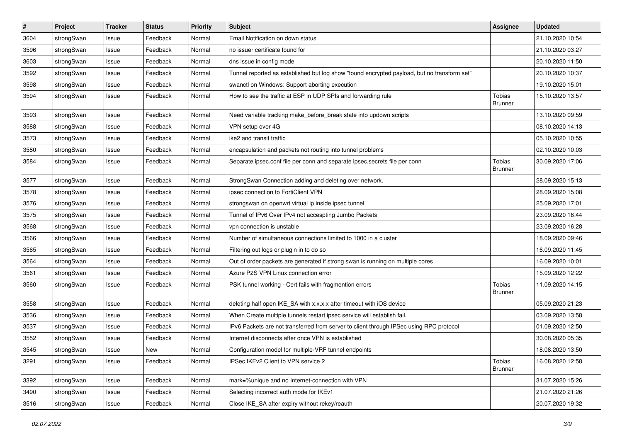| $\sharp$ | Project    | <b>Tracker</b> | <b>Status</b> | <b>Priority</b> | <b>Subject</b>                                                                              | <b>Assignee</b>          | <b>Updated</b>   |
|----------|------------|----------------|---------------|-----------------|---------------------------------------------------------------------------------------------|--------------------------|------------------|
| 3604     | strongSwan | Issue          | Feedback      | Normal          | Email Notification on down status                                                           |                          | 21.10.2020 10:54 |
| 3596     | strongSwan | Issue          | Feedback      | Normal          | no issuer certificate found for                                                             |                          | 21.10.2020 03:27 |
| 3603     | strongSwan | Issue          | Feedback      | Normal          | dns issue in config mode                                                                    |                          | 20.10.2020 11:50 |
| 3592     | strongSwan | Issue          | Feedback      | Normal          | Tunnel reported as established but log show "found encrypted payload, but no transform set" |                          | 20.10.2020 10:37 |
| 3598     | strongSwan | Issue          | Feedback      | Normal          | swanctl on Windows: Support aborting execution                                              |                          | 19.10.2020 15:01 |
| 3594     | strongSwan | Issue          | Feedback      | Normal          | How to see the traffic at ESP in UDP SPIs and forwarding rule                               | Tobias<br><b>Brunner</b> | 15.10.2020 13:57 |
| 3593     | strongSwan | Issue          | Feedback      | Normal          | Need variable tracking make_before_break state into updown scripts                          |                          | 13.10.2020 09:59 |
| 3588     | strongSwan | Issue          | Feedback      | Normal          | VPN setup over 4G                                                                           |                          | 08.10.2020 14:13 |
| 3573     | strongSwan | Issue          | Feedback      | Normal          | ike2 and transit traffic                                                                    |                          | 05.10.2020 10:55 |
| 3580     | strongSwan | Issue          | Feedback      | Normal          | encapsulation and packets not routing into tunnel problems                                  |                          | 02.10.2020 10:03 |
| 3584     | strongSwan | Issue          | Feedback      | Normal          | Separate ipsec.conf file per conn and separate ipsec.secrets file per conn                  | Tobias<br><b>Brunner</b> | 30.09.2020 17:06 |
| 3577     | strongSwan | Issue          | Feedback      | Normal          | StrongSwan Connection adding and deleting over network.                                     |                          | 28.09.2020 15:13 |
| 3578     | strongSwan | Issue          | Feedback      | Normal          | ipsec connection to FortiClient VPN                                                         |                          | 28.09.2020 15:08 |
| 3576     | strongSwan | Issue          | Feedback      | Normal          | strongswan on openwrt virtual ip inside ipsec tunnel                                        |                          | 25.09.2020 17:01 |
| 3575     | strongSwan | Issue          | Feedback      | Normal          | Tunnel of IPv6 Over IPv4 not accespting Jumbo Packets                                       |                          | 23.09.2020 16:44 |
| 3568     | strongSwan | Issue          | Feedback      | Normal          | vpn connection is unstable                                                                  |                          | 23.09.2020 16:28 |
| 3566     | strongSwan | Issue          | Feedback      | Normal          | Number of simultaneous connections limited to 1000 in a cluster                             |                          | 18.09.2020 09:46 |
| 3565     | strongSwan | Issue          | Feedback      | Normal          | Filtering out logs or plugin in to do so                                                    |                          | 16.09.2020 11:45 |
| 3564     | strongSwan | Issue          | Feedback      | Normal          | Out of order packets are generated if strong swan is running on multiple cores              |                          | 16.09.2020 10:01 |
| 3561     | strongSwan | Issue          | Feedback      | Normal          | Azure P2S VPN Linux connection error                                                        |                          | 15.09.2020 12:22 |
| 3560     | strongSwan | Issue          | Feedback      | Normal          | PSK tunnel working - Cert fails with fragmention errors                                     | Tobias<br><b>Brunner</b> | 11.09.2020 14:15 |
| 3558     | strongSwan | Issue          | Feedback      | Normal          | deleting half open IKE_SA with x.x.x.x after timeout with iOS device                        |                          | 05.09.2020 21:23 |
| 3536     | strongSwan | Issue          | Feedback      | Normal          | When Create multiple tunnels restart ipsec service will establish fail.                     |                          | 03.09.2020 13:58 |
| 3537     | strongSwan | Issue          | Feedback      | Normal          | IPv6 Packets are not transferred from server to client through IPSec using RPC protocol     |                          | 01.09.2020 12:50 |
| 3552     | strongSwan | Issue          | Feedback      | Normal          | Internet disconnects after once VPN is established                                          |                          | 30.08.2020 05:35 |
| 3545     | strongSwan | Issue          | New           | Normal          | Configuration model for multiple-VRF tunnel endpoints                                       |                          | 18.08.2020 13:50 |
| 3291     | strongSwan | Issue          | Feedback      | Normal          | IPSec IKEv2 Client to VPN service 2                                                         | Tobias<br><b>Brunner</b> | 16.08.2020 12:58 |
| 3392     | strongSwan | Issue          | Feedback      | Normal          | mark=%unique and no Internet-connection with VPN                                            |                          | 31.07.2020 15:26 |
| 3490     | strongSwan | Issue          | Feedback      | Normal          | Selecting incorrect auth mode for IKEv1                                                     |                          | 21.07.2020 21:26 |
| 3516     | strongSwan | Issue          | Feedback      | Normal          | Close IKE_SA after expiry without rekey/reauth                                              |                          | 20.07.2020 19:32 |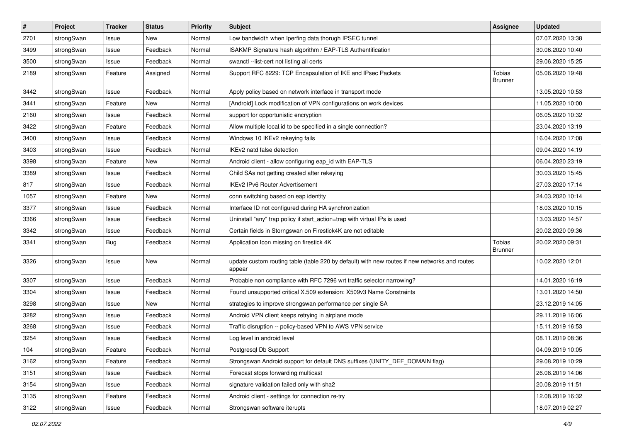| $\sharp$ | Project    | <b>Tracker</b> | <b>Status</b> | <b>Priority</b> | <b>Subject</b>                                                                                          | <b>Assignee</b>          | <b>Updated</b>   |
|----------|------------|----------------|---------------|-----------------|---------------------------------------------------------------------------------------------------------|--------------------------|------------------|
| 2701     | strongSwan | Issue          | New           | Normal          | Low bandwidth when Iperfing data thorugh IPSEC tunnel                                                   |                          | 07.07.2020 13:38 |
| 3499     | strongSwan | Issue          | Feedback      | Normal          | ISAKMP Signature hash algorithm / EAP-TLS Authentification                                              |                          | 30.06.2020 10:40 |
| 3500     | strongSwan | Issue          | Feedback      | Normal          | swanctl --list-cert not listing all certs                                                               |                          | 29.06.2020 15:25 |
| 2189     | strongSwan | Feature        | Assigned      | Normal          | Support RFC 8229: TCP Encapsulation of IKE and IPsec Packets                                            | Tobias<br><b>Brunner</b> | 05.06.2020 19:48 |
| 3442     | strongSwan | Issue          | Feedback      | Normal          | Apply policy based on network interface in transport mode                                               |                          | 13.05.2020 10:53 |
| 3441     | strongSwan | Feature        | New           | Normal          | [Android] Lock modification of VPN configurations on work devices                                       |                          | 11.05.2020 10:00 |
| 2160     | strongSwan | Issue          | Feedback      | Normal          | support for opportunistic encryption                                                                    |                          | 06.05.2020 10:32 |
| 3422     | strongSwan | Feature        | Feedback      | Normal          | Allow multiple local.id to be specified in a single connection?                                         |                          | 23.04.2020 13:19 |
| 3400     | strongSwan | Issue          | Feedback      | Normal          | Windows 10 IKEv2 rekeying fails                                                                         |                          | 16.04.2020 17:08 |
| 3403     | strongSwan | Issue          | Feedback      | Normal          | IKEv2 natd false detection                                                                              |                          | 09.04.2020 14:19 |
| 3398     | strongSwan | Feature        | New           | Normal          | Android client - allow configuring eap_id with EAP-TLS                                                  |                          | 06.04.2020 23:19 |
| 3389     | strongSwan | Issue          | Feedback      | Normal          | Child SAs not getting created after rekeying                                                            |                          | 30.03.2020 15:45 |
| 817      | strongSwan | Issue          | Feedback      | Normal          | <b>IKEv2 IPv6 Router Advertisement</b>                                                                  |                          | 27.03.2020 17:14 |
| 1057     | strongSwan | Feature        | New           | Normal          | conn switching based on eap identity                                                                    |                          | 24.03.2020 10:14 |
| 3377     | strongSwan | Issue          | Feedback      | Normal          | Interface ID not configured during HA synchronization                                                   |                          | 18.03.2020 10:15 |
| 3366     | strongSwan | Issue          | Feedback      | Normal          | Uninstall "any" trap policy if start_action=trap with virtual IPs is used                               |                          | 13.03.2020 14:57 |
| 3342     | strongSwan | Issue          | Feedback      | Normal          | Certain fields in Storngswan on Firestick4K are not editable                                            |                          | 20.02.2020 09:36 |
| 3341     | strongSwan | <b>Bug</b>     | Feedback      | Normal          | Application Icon missing on firestick 4K                                                                | Tobias<br><b>Brunner</b> | 20.02.2020 09:31 |
| 3326     | strongSwan | Issue          | <b>New</b>    | Normal          | update custom routing table (table 220 by default) with new routes if new networks and routes<br>appear |                          | 10.02.2020 12:01 |
| 3307     | strongSwan | Issue          | Feedback      | Normal          | Probable non compliance with RFC 7296 wrt traffic selector narrowing?                                   |                          | 14.01.2020 16:19 |
| 3304     | strongSwan | Issue          | Feedback      | Normal          | Found unsupported critical X.509 extension: X509v3 Name Constraints                                     |                          | 13.01.2020 14:50 |
| 3298     | strongSwan | Issue          | New           | Normal          | strategies to improve strongswan performance per single SA                                              |                          | 23.12.2019 14:05 |
| 3282     | strongSwan | Issue          | Feedback      | Normal          | Android VPN client keeps retrying in airplane mode                                                      |                          | 29.11.2019 16:06 |
| 3268     | strongSwan | Issue          | Feedback      | Normal          | Traffic disruption -- policy-based VPN to AWS VPN service                                               |                          | 15.11.2019 16:53 |
| 3254     | strongSwan | Issue          | Feedback      | Normal          | Log level in android level                                                                              |                          | 08.11.2019 08:36 |
| 104      | strongSwan | Feature        | Feedback      | Normal          | Postgresql Db Support                                                                                   |                          | 04.09.2019 10:05 |
| 3162     | strongSwan | Feature        | Feedback      | Normal          | Strongswan Android support for default DNS suffixes (UNITY DEF DOMAIN flag)                             |                          | 29.08.2019 10:29 |
| 3151     | strongSwan | Issue          | Feedback      | Normal          | Forecast stops forwarding multicast                                                                     |                          | 26.08.2019 14:06 |
| 3154     | strongSwan | Issue          | Feedback      | Normal          | signature validation failed only with sha2                                                              |                          | 20.08.2019 11:51 |
| 3135     | strongSwan | Feature        | Feedback      | Normal          | Android client - settings for connection re-try                                                         |                          | 12.08.2019 16:32 |
| 3122     | strongSwan | Issue          | Feedback      | Normal          | Strongswan software iterupts                                                                            |                          | 18.07.2019 02:27 |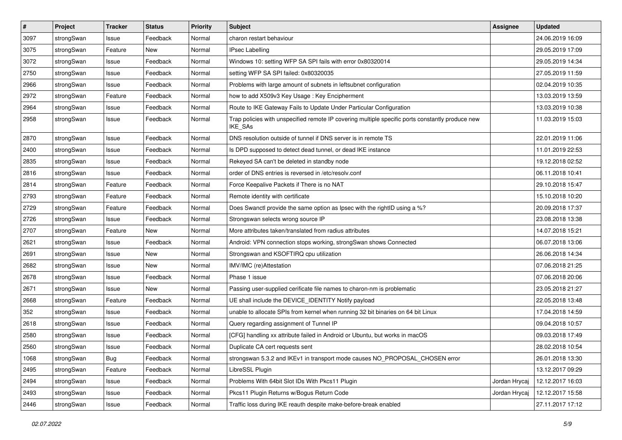| $\sharp$ | Project    | <b>Tracker</b> | <b>Status</b> | <b>Priority</b> | <b>Subject</b>                                                                                              | <b>Assignee</b> | <b>Updated</b>   |
|----------|------------|----------------|---------------|-----------------|-------------------------------------------------------------------------------------------------------------|-----------------|------------------|
| 3097     | strongSwan | Issue          | Feedback      | Normal          | charon restart behaviour                                                                                    |                 | 24.06.2019 16:09 |
| 3075     | strongSwan | Feature        | <b>New</b>    | Normal          | <b>IPsec Labelling</b>                                                                                      |                 | 29.05.2019 17:09 |
| 3072     | strongSwan | Issue          | Feedback      | Normal          | Windows 10: setting WFP SA SPI fails with error 0x80320014                                                  |                 | 29.05.2019 14:34 |
| 2750     | strongSwan | Issue          | Feedback      | Normal          | setting WFP SA SPI failed: 0x80320035                                                                       |                 | 27.05.2019 11:59 |
| 2966     | strongSwan | Issue          | Feedback      | Normal          | Problems with large amount of subnets in leftsubnet configuration                                           |                 | 02.04.2019 10:35 |
| 2972     | strongSwan | Feature        | Feedback      | Normal          | how to add X509v3 Key Usage: Key Encipherment                                                               |                 | 13.03.2019 13:59 |
| 2964     | strongSwan | Issue          | Feedback      | Normal          | Route to IKE Gateway Fails to Update Under Particular Configuration                                         |                 | 13.03.2019 10:38 |
| 2958     | strongSwan | Issue          | Feedback      | Normal          | Trap policies with unspecified remote IP covering multiple specific ports constantly produce new<br>IKE_SAs |                 | 11.03.2019 15:03 |
| 2870     | strongSwan | Issue          | Feedback      | Normal          | DNS resolution outside of tunnel if DNS server is in remote TS                                              |                 | 22.01.2019 11:06 |
| 2400     | strongSwan | Issue          | Feedback      | Normal          | Is DPD supposed to detect dead tunnel, or dead IKE instance                                                 |                 | 11.01.2019 22:53 |
| 2835     | strongSwan | Issue          | Feedback      | Normal          | Rekeyed SA can't be deleted in standby node                                                                 |                 | 19.12.2018 02:52 |
| 2816     | strongSwan | Issue          | Feedback      | Normal          | order of DNS entries is reversed in /etc/resolv.conf                                                        |                 | 06.11.2018 10:41 |
| 2814     | strongSwan | Feature        | Feedback      | Normal          | Force Keepalive Packets if There is no NAT                                                                  |                 | 29.10.2018 15:47 |
| 2793     | strongSwan | Feature        | Feedback      | Normal          | Remote identity with certificate                                                                            |                 | 15.10.2018 10:20 |
| 2729     | strongSwan | Feature        | Feedback      | Normal          | Does Swanctl provide the same option as Ipsec with the rightID using a %?                                   |                 | 20.09.2018 17:37 |
| 2726     | strongSwan | Issue          | Feedback      | Normal          | Strongswan selects wrong source IP                                                                          |                 | 23.08.2018 13:38 |
| 2707     | strongSwan | Feature        | New           | Normal          | More attributes taken/translated from radius attributes                                                     |                 | 14.07.2018 15:21 |
| 2621     | strongSwan | Issue          | Feedback      | Normal          | Android: VPN connection stops working, strongSwan shows Connected                                           |                 | 06.07.2018 13:06 |
| 2691     | strongSwan | Issue          | <b>New</b>    | Normal          | Strongswan and KSOFTIRQ cpu utilization                                                                     |                 | 26.06.2018 14:34 |
| 2682     | strongSwan | Issue          | New           | Normal          | IMV/IMC (re)Attestation                                                                                     |                 | 07.06.2018 21:25 |
| 2678     | strongSwan | Issue          | Feedback      | Normal          | Phase 1 issue                                                                                               |                 | 07.06.2018 20:06 |
| 2671     | strongSwan | Issue          | New           | Normal          | Passing user-supplied cerificate file names to charon-nm is problematic                                     |                 | 23.05.2018 21:27 |
| 2668     | strongSwan | Feature        | Feedback      | Normal          | UE shall include the DEVICE_IDENTITY Notify payload                                                         |                 | 22.05.2018 13:48 |
| 352      | strongSwan | Issue          | Feedback      | Normal          | unable to allocate SPIs from kernel when running 32 bit binaries on 64 bit Linux                            |                 | 17.04.2018 14:59 |
| 2618     | strongSwan | Issue          | Feedback      | Normal          | Query regarding assignment of Tunnel IP                                                                     |                 | 09.04.2018 10:57 |
| 2580     | strongSwan | Issue          | Feedback      | Normal          | [CFG] handling xx attribute failed in Android or Ubuntu, but works in macOS                                 |                 | 09.03.2018 17:49 |
| 2560     | strongSwan | Issue          | Feedback      | Normal          | Duplicate CA cert requests sent                                                                             |                 | 28.02.2018 10:54 |
| 1068     | strongSwan | <b>Bug</b>     | Feedback      | Normal          | strongswan 5.3.2 and IKEv1 in transport mode causes NO PROPOSAL CHOSEN error                                |                 | 26.01.2018 13:30 |
| 2495     | strongSwan | Feature        | Feedback      | Normal          | LibreSSL Plugin                                                                                             |                 | 13.12.2017 09:29 |
| 2494     | strongSwan | Issue          | Feedback      | Normal          | Problems With 64bit Slot IDs With Pkcs11 Plugin                                                             | Jordan Hrycaj   | 12.12.2017 16:03 |
| 2493     | strongSwan | Issue          | Feedback      | Normal          | Pkcs11 Plugin Returns w/Bogus Return Code                                                                   | Jordan Hrycaj   | 12.12.2017 15:58 |
| 2446     | strongSwan | Issue          | Feedback      | Normal          | Traffic loss during IKE reauth despite make-before-break enabled                                            |                 | 27.11.2017 17:12 |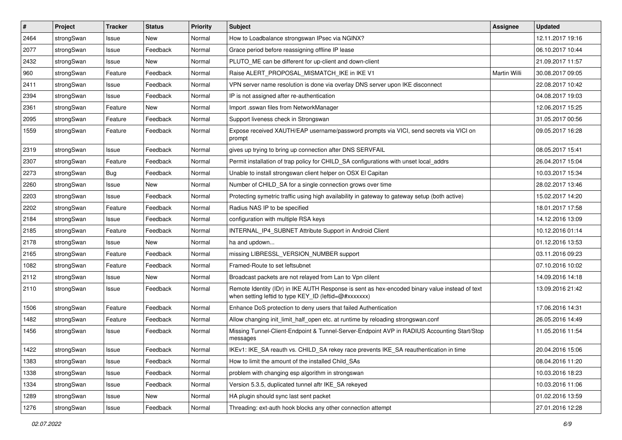| $\sharp$ | Project    | <b>Tracker</b> | <b>Status</b> | <b>Priority</b> | <b>Subject</b>                                                                                                                                          | Assignee            | <b>Updated</b>   |
|----------|------------|----------------|---------------|-----------------|---------------------------------------------------------------------------------------------------------------------------------------------------------|---------------------|------------------|
| 2464     | strongSwan | Issue          | New           | Normal          | How to Loadbalance strongswan IPsec via NGINX?                                                                                                          |                     | 12.11.2017 19:16 |
| 2077     | strongSwan | Issue          | Feedback      | Normal          | Grace period before reassigning offline IP lease                                                                                                        |                     | 06.10.2017 10:44 |
| 2432     | strongSwan | Issue          | New           | Normal          | PLUTO_ME can be different for up-client and down-client                                                                                                 |                     | 21.09.2017 11:57 |
| 960      | strongSwan | Feature        | Feedback      | Normal          | Raise ALERT_PROPOSAL_MISMATCH_IKE in IKE V1                                                                                                             | <b>Martin Willi</b> | 30.08.2017 09:05 |
| 2411     | strongSwan | Issue          | Feedback      | Normal          | VPN server name resolution is done via overlay DNS server upon IKE disconnect                                                                           |                     | 22.08.2017 10:42 |
| 2394     | strongSwan | Issue          | Feedback      | Normal          | IP is not assigned after re-authentication                                                                                                              |                     | 04.08.2017 19:03 |
| 2361     | strongSwan | Feature        | New           | Normal          | Import .sswan files from NetworkManager                                                                                                                 |                     | 12.06.2017 15:25 |
| 2095     | strongSwan | Feature        | Feedback      | Normal          | Support liveness check in Strongswan                                                                                                                    |                     | 31.05.2017 00:56 |
| 1559     | strongSwan | Feature        | Feedback      | Normal          | Expose received XAUTH/EAP username/password prompts via VICI, send secrets via VICI on<br>prompt                                                        |                     | 09.05.2017 16:28 |
| 2319     | strongSwan | Issue          | Feedback      | Normal          | gives up trying to bring up connection after DNS SERVFAIL                                                                                               |                     | 08.05.2017 15:41 |
| 2307     | strongSwan | Feature        | Feedback      | Normal          | Permit installation of trap policy for CHILD_SA configurations with unset local_addrs                                                                   |                     | 26.04.2017 15:04 |
| 2273     | strongSwan | Bug            | Feedback      | Normal          | Unable to install strongswan client helper on OSX El Capitan                                                                                            |                     | 10.03.2017 15:34 |
| 2260     | strongSwan | Issue          | New           | Normal          | Number of CHILD_SA for a single connection grows over time                                                                                              |                     | 28.02.2017 13:46 |
| 2203     | strongSwan | Issue          | Feedback      | Normal          | Protecting symetric traffic using high availability in gateway to gateway setup (both active)                                                           |                     | 15.02.2017 14:20 |
| 2202     | strongSwan | Feature        | Feedback      | Normal          | Radius NAS IP to be specified                                                                                                                           |                     | 18.01.2017 17:58 |
| 2184     | strongSwan | Issue          | Feedback      | Normal          | configuration with multiple RSA keys                                                                                                                    |                     | 14.12.2016 13:09 |
| 2185     | strongSwan | Feature        | Feedback      | Normal          | INTERNAL_IP4_SUBNET Attribute Support in Android Client                                                                                                 |                     | 10.12.2016 01:14 |
| 2178     | strongSwan | Issue          | New           | Normal          | ha and updown                                                                                                                                           |                     | 01.12.2016 13:53 |
| 2165     | strongSwan | Feature        | Feedback      | Normal          | missing LIBRESSL_VERSION_NUMBER support                                                                                                                 |                     | 03.11.2016 09:23 |
| 1082     | strongSwan | Feature        | Feedback      | Normal          | Framed-Route to set leftsubnet                                                                                                                          |                     | 07.10.2016 10:02 |
| 2112     | strongSwan | Issue          | New           | Normal          | Broadcast packets are not relayed from Lan to Vpn clilent                                                                                               |                     | 14.09.2016 14:18 |
| 2110     | strongSwan | Issue          | Feedback      | Normal          | Remote Identity (IDr) in IKE AUTH Response is sent as hex-encoded binary value instead of text<br>when setting leftid to type KEY_ID (leftid=@#xxxxxxx) |                     | 13.09.2016 21:42 |
| 1506     | strongSwan | Feature        | Feedback      | Normal          | Enhance DoS protection to deny users that failed Authentication                                                                                         |                     | 17.06.2016 14:31 |
| 1482     | strongSwan | Feature        | Feedback      | Normal          | Allow changing init_limit_half_open etc. at runtime by reloading strongswan.conf                                                                        |                     | 26.05.2016 14:49 |
| 1456     | strongSwan | Issue          | Feedback      | Normal          | Missing Tunnel-Client-Endpoint & Tunnel-Server-Endpoint AVP in RADIUS Accounting Start/Stop<br>messages                                                 |                     | 11.05.2016 11:54 |
| 1422     | strongSwan | Issue          | Feedback      | Normal          | IKEv1: IKE_SA reauth vs. CHILD_SA rekey race prevents IKE_SA reauthentication in time                                                                   |                     | 20.04.2016 15:06 |
| 1383     | strongSwan | Issue          | Feedback      | Normal          | How to limit the amount of the installed Child SAs                                                                                                      |                     | 08.04.2016 11:20 |
| 1338     | strongSwan | Issue          | Feedback      | Normal          | problem with changing esp algorithm in strongswan                                                                                                       |                     | 10.03.2016 18:23 |
| 1334     | strongSwan | Issue          | Feedback      | Normal          | Version 5.3.5, duplicated tunnel aftr IKE_SA rekeyed                                                                                                    |                     | 10.03.2016 11:06 |
| 1289     | strongSwan | Issue          | New           | Normal          | HA plugin should sync last sent packet                                                                                                                  |                     | 01.02.2016 13:59 |
| 1276     | strongSwan | Issue          | Feedback      | Normal          | Threading: ext-auth hook blocks any other connection attempt                                                                                            |                     | 27.01.2016 12:28 |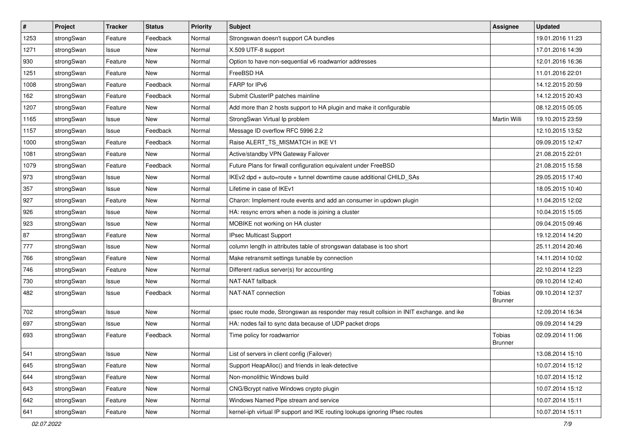| $\vert$ # | Project    | <b>Tracker</b> | <b>Status</b> | Priority | <b>Subject</b>                                                                          | <b>Assignee</b>          | <b>Updated</b>   |
|-----------|------------|----------------|---------------|----------|-----------------------------------------------------------------------------------------|--------------------------|------------------|
| 1253      | strongSwan | Feature        | Feedback      | Normal   | Strongswan doesn't support CA bundles                                                   |                          | 19.01.2016 11:23 |
| 1271      | strongSwan | Issue          | <b>New</b>    | Normal   | X.509 UTF-8 support                                                                     |                          | 17.01.2016 14:39 |
| 930       | strongSwan | Feature        | New           | Normal   | Option to have non-sequential v6 roadwarrior addresses                                  |                          | 12.01.2016 16:36 |
| 1251      | strongSwan | Feature        | New           | Normal   | FreeBSD HA                                                                              |                          | 11.01.2016 22:01 |
| 1008      | strongSwan | Feature        | Feedback      | Normal   | FARP for IPv6                                                                           |                          | 14.12.2015 20:59 |
| 162       | strongSwan | Feature        | Feedback      | Normal   | Submit ClusterIP patches mainline                                                       |                          | 14.12.2015 20:43 |
| 1207      | strongSwan | Feature        | New           | Normal   | Add more than 2 hosts support to HA plugin and make it configurable                     |                          | 08.12.2015 05:05 |
| 1165      | strongSwan | Issue          | <b>New</b>    | Normal   | StrongSwan Virtual Ip problem                                                           | Martin Willi             | 19.10.2015 23:59 |
| 1157      | strongSwan | Issue          | Feedback      | Normal   | Message ID overflow RFC 5996 2.2                                                        |                          | 12.10.2015 13:52 |
| 1000      | strongSwan | Feature        | Feedback      | Normal   | Raise ALERT_TS_MISMATCH in IKE V1                                                       |                          | 09.09.2015 12:47 |
| 1081      | strongSwan | Feature        | New           | Normal   | Active/standby VPN Gateway Failover                                                     |                          | 21.08.2015 22:01 |
| 1079      | strongSwan | Feature        | Feedback      | Normal   | Future Plans for firwall configuration equivalent under FreeBSD                         |                          | 21.08.2015 15:58 |
| 973       | strongSwan | Issue          | <b>New</b>    | Normal   | IKEv2 dpd + auto=route + tunnel downtime cause additional CHILD_SAs                     |                          | 29.05.2015 17:40 |
| 357       | strongSwan | Issue          | New           | Normal   | Lifetime in case of IKEv1                                                               |                          | 18.05.2015 10:40 |
| 927       | strongSwan | Feature        | <b>New</b>    | Normal   | Charon: Implement route events and add an consumer in updown plugin                     |                          | 11.04.2015 12:02 |
| 926       | strongSwan | Issue          | New           | Normal   | HA: resync errors when a node is joining a cluster                                      |                          | 10.04.2015 15:05 |
| 923       | strongSwan | Issue          | <b>New</b>    | Normal   | MOBIKE not working on HA cluster                                                        |                          | 09.04.2015 09:46 |
| 87        | strongSwan | Feature        | <b>New</b>    | Normal   | IPsec Multicast Support                                                                 |                          | 19.12.2014 14:20 |
| 777       | strongSwan | Issue          | New           | Normal   | column length in attributes table of strongswan database is too short                   |                          | 25.11.2014 20:46 |
| 766       | strongSwan | Feature        | New           | Normal   | Make retransmit settings tunable by connection                                          |                          | 14.11.2014 10:02 |
| 746       | strongSwan | Feature        | New           | Normal   | Different radius server(s) for accounting                                               |                          | 22.10.2014 12:23 |
| 730       | strongSwan | Issue          | New           | Normal   | NAT-NAT fallback                                                                        |                          | 09.10.2014 12:40 |
| 482       | strongSwan | Issue          | Feedback      | Normal   | NAT-NAT connection                                                                      | Tobias<br><b>Brunner</b> | 09.10.2014 12:37 |
| 702       | strongSwan | Issue          | <b>New</b>    | Normal   | ipsec route mode, Strongswan as responder may result collsion in INIT exchange. and ike |                          | 12.09.2014 16:34 |
| 697       | strongSwan | Issue          | <b>New</b>    | Normal   | HA: nodes fail to sync data because of UDP packet drops                                 |                          | 09.09.2014 14:29 |
| 693       | strongSwan | Feature        | Feedback      | Normal   | Time policy for roadwarrior                                                             | Tobias<br><b>Brunner</b> | 02.09.2014 11:06 |
| 541       | strongSwan | Issue          | New           | Normal   | List of servers in client config (Failover)                                             |                          | 13.08.2014 15:10 |
| 645       | strongSwan | Feature        | New           | Normal   | Support HeapAlloc() and friends in leak-detective                                       |                          | 10.07.2014 15:12 |
| 644       | strongSwan | Feature        | <b>New</b>    | Normal   | Non-monolithic Windows build                                                            |                          | 10.07.2014 15:12 |
| 643       | strongSwan | Feature        | New           | Normal   | CNG/Bcrypt native Windows crypto plugin                                                 |                          | 10.07.2014 15:12 |
| 642       | strongSwan | Feature        | New           | Normal   | Windows Named Pipe stream and service                                                   |                          | 10.07.2014 15:11 |
| 641       | strongSwan | Feature        | New           | Normal   | kernel-iph virtual IP support and IKE routing lookups ignoring IPsec routes             |                          | 10.07.2014 15:11 |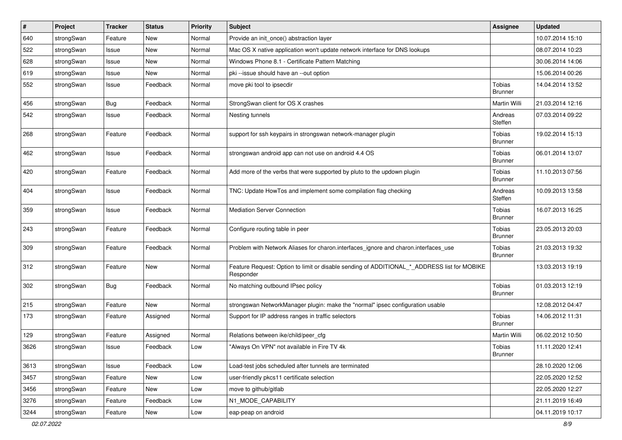| $\vert$ # | Project    | <b>Tracker</b> | <b>Status</b> | Priority | <b>Subject</b>                                                                                           | Assignee                 | <b>Updated</b>   |
|-----------|------------|----------------|---------------|----------|----------------------------------------------------------------------------------------------------------|--------------------------|------------------|
| 640       | strongSwan | Feature        | New           | Normal   | Provide an init once() abstraction layer                                                                 |                          | 10.07.2014 15:10 |
| 522       | strongSwan | Issue          | New           | Normal   | Mac OS X native application won't update network interface for DNS lookups                               |                          | 08.07.2014 10:23 |
| 628       | strongSwan | Issue          | New           | Normal   | Windows Phone 8.1 - Certificate Pattern Matching                                                         |                          | 30.06.2014 14:06 |
| 619       | strongSwan | Issue          | New           | Normal   | pki --issue should have an --out option                                                                  |                          | 15.06.2014 00:26 |
| 552       | strongSwan | Issue          | Feedback      | Normal   | move pki tool to ipsecdir                                                                                | Tobias<br><b>Brunner</b> | 14.04.2014 13:52 |
| 456       | strongSwan | <b>Bug</b>     | Feedback      | Normal   | StrongSwan client for OS X crashes                                                                       | <b>Martin Willi</b>      | 21.03.2014 12:16 |
| 542       | strongSwan | Issue          | Feedback      | Normal   | Nesting tunnels                                                                                          | Andreas<br>Steffen       | 07.03.2014 09:22 |
| 268       | strongSwan | Feature        | Feedback      | Normal   | support for ssh keypairs in strongswan network-manager plugin                                            | Tobias<br>Brunner        | 19.02.2014 15:13 |
| 462       | strongSwan | Issue          | Feedback      | Normal   | strongswan android app can not use on android 4.4 OS                                                     | Tobias<br><b>Brunner</b> | 06.01.2014 13:07 |
| 420       | strongSwan | Feature        | Feedback      | Normal   | Add more of the verbs that were supported by pluto to the updown plugin                                  | Tobias<br><b>Brunner</b> | 11.10.2013 07:56 |
| 404       | strongSwan | Issue          | Feedback      | Normal   | TNC: Update HowTos and implement some compilation flag checking                                          | Andreas<br>Steffen       | 10.09.2013 13:58 |
| 359       | strongSwan | Issue          | Feedback      | Normal   | Mediation Server Connection                                                                              | Tobias<br>Brunner        | 16.07.2013 16:25 |
| 243       | strongSwan | Feature        | Feedback      | Normal   | Configure routing table in peer                                                                          | Tobias<br><b>Brunner</b> | 23.05.2013 20:03 |
| 309       | strongSwan | Feature        | Feedback      | Normal   | Problem with Network Aliases for charon.interfaces_ignore and charon.interfaces_use                      | Tobias<br><b>Brunner</b> | 21.03.2013 19:32 |
| 312       | strongSwan | Feature        | New           | Normal   | Feature Request: Option to limit or disable sending of ADDITIONAL_*_ADDRESS list for MOBIKE<br>Responder |                          | 13.03.2013 19:19 |
| 302       | strongSwan | <b>Bug</b>     | Feedback      | Normal   | No matching outbound IPsec policy                                                                        | Tobias<br><b>Brunner</b> | 01.03.2013 12:19 |
| 215       | strongSwan | Feature        | New           | Normal   | strongswan NetworkManager plugin: make the "normal" ipsec configuration usable                           |                          | 12.08.2012 04:47 |
| 173       | strongSwan | Feature        | Assigned      | Normal   | Support for IP address ranges in traffic selectors                                                       | Tobias<br>Brunner        | 14.06.2012 11:31 |
| 129       | strongSwan | Feature        | Assigned      | Normal   | Relations between ike/child/peer cfg                                                                     | Martin Willi             | 06.02.2012 10:50 |
| 3626      | strongSwan | Issue          | Feedback      | Low      | "Always On VPN" not available in Fire TV 4k                                                              | Tobias<br>Brunner        | 11.11.2020 12:41 |
| 3613      | strongSwan | Issue          | Feedback      | Low      | Load-test jobs scheduled after tunnels are terminated                                                    |                          | 28.10.2020 12:06 |
| 3457      | strongSwan | Feature        | New           | Low      | user-friendly pkcs11 certificate selection                                                               |                          | 22.05.2020 12:52 |
| 3456      | strongSwan | Feature        | New           | Low      | move to github/gitlab                                                                                    |                          | 22.05.2020 12:27 |
| 3276      | strongSwan | Feature        | Feedback      | Low      | N1_MODE_CAPABILITY                                                                                       |                          | 21.11.2019 16:49 |
| 3244      | strongSwan | Feature        | New           | Low      | eap-peap on android                                                                                      |                          | 04.11.2019 10:17 |